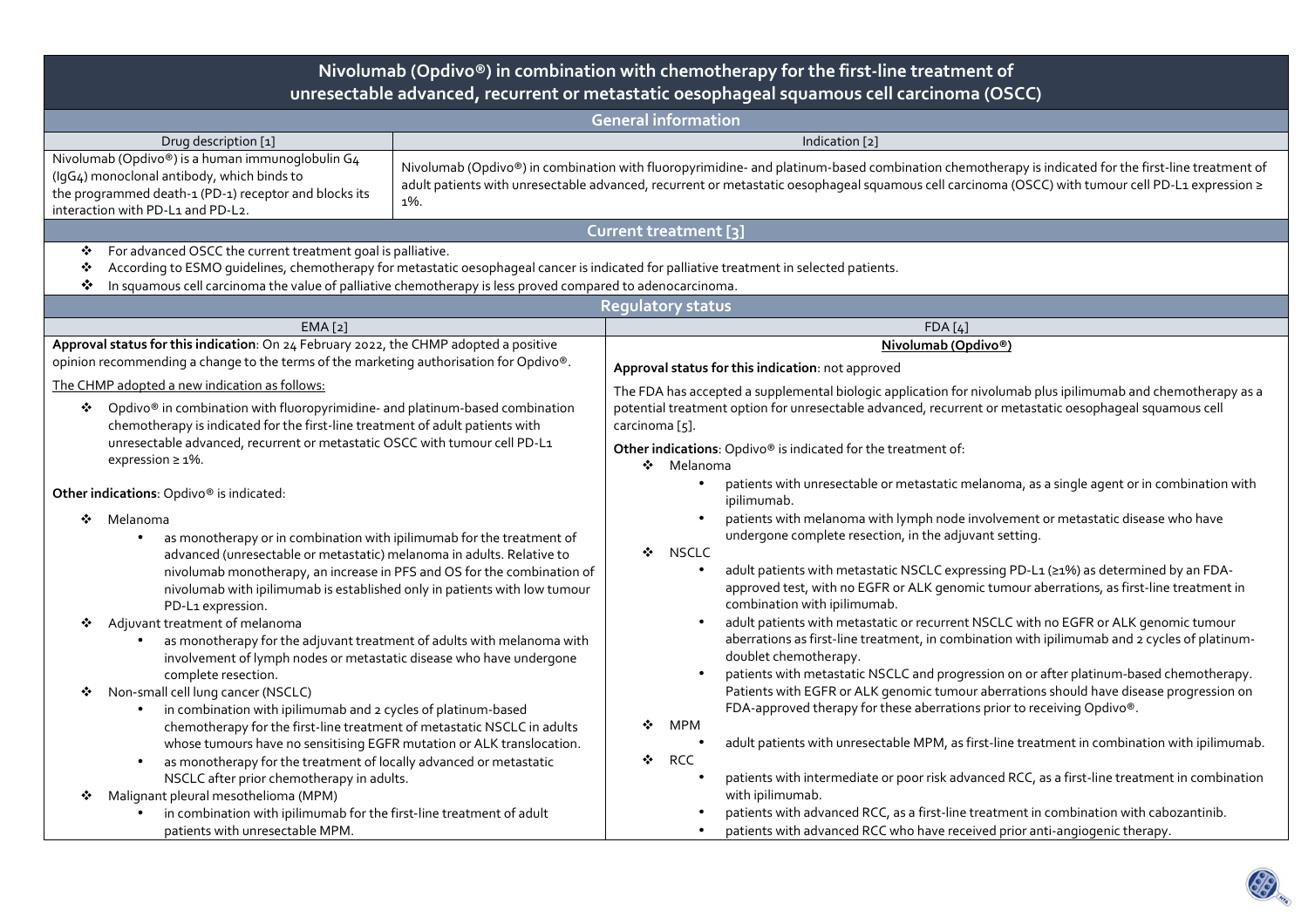| Nivolumab (Opdivo®) in combination with chemotherapy for the first-line treatment of<br>unresectable advanced, recurrent or metastatic oesophageal squamous cell carcinoma (OSCC)                                                                                                                                                                                                                                                    |                |                                                                                                                                                                                                                                                                                                                          |                                                                                                                                                                                                                                                                                                                                                                                                                                                                                         |  |  |  |  |  |  |
|--------------------------------------------------------------------------------------------------------------------------------------------------------------------------------------------------------------------------------------------------------------------------------------------------------------------------------------------------------------------------------------------------------------------------------------|----------------|--------------------------------------------------------------------------------------------------------------------------------------------------------------------------------------------------------------------------------------------------------------------------------------------------------------------------|-----------------------------------------------------------------------------------------------------------------------------------------------------------------------------------------------------------------------------------------------------------------------------------------------------------------------------------------------------------------------------------------------------------------------------------------------------------------------------------------|--|--|--|--|--|--|
| <b>General information</b>                                                                                                                                                                                                                                                                                                                                                                                                           |                |                                                                                                                                                                                                                                                                                                                          |                                                                                                                                                                                                                                                                                                                                                                                                                                                                                         |  |  |  |  |  |  |
| Drug description [1]                                                                                                                                                                                                                                                                                                                                                                                                                 | Indication [2] |                                                                                                                                                                                                                                                                                                                          |                                                                                                                                                                                                                                                                                                                                                                                                                                                                                         |  |  |  |  |  |  |
| Nivolumab (Opdivo®) is a human immunoglobulin G4<br>(IgG4) monoclonal antibody, which binds to<br>the programmed death-1 (PD-1) receptor and blocks its<br>interaction with PD-L1 and PD-L2.                                                                                                                                                                                                                                         | 1%.            | Nivolumab (Opdivo®) in combination with fluoropyrimidine- and platinum-based combination chemotherapy is indicated for the first-line treatment of<br>adult patients with unresectable advanced, recurrent or metastatic oesophageal squamous cell carcinoma (OSCC) with tumour cell PD-L1 expression ≥                  |                                                                                                                                                                                                                                                                                                                                                                                                                                                                                         |  |  |  |  |  |  |
| Current treatment [3]                                                                                                                                                                                                                                                                                                                                                                                                                |                |                                                                                                                                                                                                                                                                                                                          |                                                                                                                                                                                                                                                                                                                                                                                                                                                                                         |  |  |  |  |  |  |
| For advanced OSCC the current treatment goal is palliative.<br>❖<br>According to ESMO quidelines, chemotherapy for metastatic oesophageal cancer is indicated for palliative treatment in selected patients.<br>٠<br>In squamous cell carcinoma the value of palliative chemotherapy is less proved compared to adenocarcinoma.<br>❖                                                                                                 |                |                                                                                                                                                                                                                                                                                                                          |                                                                                                                                                                                                                                                                                                                                                                                                                                                                                         |  |  |  |  |  |  |
|                                                                                                                                                                                                                                                                                                                                                                                                                                      |                | <b>Regulatory status</b>                                                                                                                                                                                                                                                                                                 |                                                                                                                                                                                                                                                                                                                                                                                                                                                                                         |  |  |  |  |  |  |
| EMA [2]                                                                                                                                                                                                                                                                                                                                                                                                                              |                |                                                                                                                                                                                                                                                                                                                          | FDA[4]                                                                                                                                                                                                                                                                                                                                                                                                                                                                                  |  |  |  |  |  |  |
| Approval status for this indication: On 24 February 2022, the CHMP adopted a positive                                                                                                                                                                                                                                                                                                                                                |                |                                                                                                                                                                                                                                                                                                                          | Nivolumab (Opdivo®)                                                                                                                                                                                                                                                                                                                                                                                                                                                                     |  |  |  |  |  |  |
| opinion recommending a change to the terms of the marketing authorisation for Opdivo®.                                                                                                                                                                                                                                                                                                                                               |                | Approval status for this indication: not approved                                                                                                                                                                                                                                                                        |                                                                                                                                                                                                                                                                                                                                                                                                                                                                                         |  |  |  |  |  |  |
| The CHMP adopted a new indication as follows:<br>Opdivo® in combination with fluoropyrimidine- and platinum-based combination<br>❖<br>chemotherapy is indicated for the first-line treatment of adult patients with<br>unresectable advanced, recurrent or metastatic OSCC with tumour cell PD-L1<br>expression $\geq 1\%$ .                                                                                                         |                | The FDA has accepted a supplemental biologic application for nivolumab plus ipilimumab and chemotherapy as a<br>potential treatment option for unresectable advanced, recurrent or metastatic oesophageal squamous cell<br>carcinoma [5].<br>Other indications: Opdivo® is indicated for the treatment of:<br>❖ Melanoma |                                                                                                                                                                                                                                                                                                                                                                                                                                                                                         |  |  |  |  |  |  |
| Other indications: Opdivo® is indicated:<br>❖<br>Melanoma<br>as monotherapy or in combination with ipilimumab for the treatment of                                                                                                                                                                                                                                                                                                   |                |                                                                                                                                                                                                                                                                                                                          | patients with unresectable or metastatic melanoma, as a single agent or in combination with<br>ipilimumab.<br>patients with melanoma with lymph node involvement or metastatic disease who have<br>undergone complete resection, in the adjuvant setting.                                                                                                                                                                                                                               |  |  |  |  |  |  |
| advanced (unresectable or metastatic) melanoma in adults. Relative to<br>nivolumab monotherapy, an increase in PFS and OS for the combination of<br>nivolumab with ipilimumab is established only in patients with low tumour<br>PD-L1 expression.<br>Adjuvant treatment of melanoma<br>❖                                                                                                                                            |                | <b>NSCLC</b><br>❖                                                                                                                                                                                                                                                                                                        | adult patients with metastatic NSCLC expressing PD-L1 (≥1%) as determined by an FDA-<br>approved test, with no EGFR or ALK genomic tumour aberrations, as first-line treatment in<br>combination with ipilimumab.<br>adult patients with metastatic or recurrent NSCLC with no EGFR or ALK genomic tumour                                                                                                                                                                               |  |  |  |  |  |  |
| as monotherapy for the adjuvant treatment of adults with melanoma with<br>involvement of lymph nodes or metastatic disease who have undergone<br>complete resection.<br>Non-small cell lung cancer (NSCLC)<br>❖<br>in combination with ipilimumab and 2 cycles of platinum-based<br>chemotherapy for the first-line treatment of metastatic NSCLC in adults<br>whose tumours have no sensitising EGFR mutation or ALK translocation. |                | MPM<br>❖                                                                                                                                                                                                                                                                                                                 | aberrations as first-line treatment, in combination with ipilimumab and 2 cycles of platinum-<br>doublet chemotherapy.<br>patients with metastatic NSCLC and progression on or after platinum-based chemotherapy.<br>Patients with EGFR or ALK genomic tumour aberrations should have disease progression on<br>FDA-approved therapy for these aberrations prior to receiving Opdivo®.<br>adult patients with unresectable MPM, as first-line treatment in combination with ipilimumab. |  |  |  |  |  |  |
| as monotherapy for the treatment of locally advanced or metastatic<br>NSCLC after prior chemotherapy in adults.<br>Malignant pleural mesothelioma (MPM)<br>❖<br>in combination with ipilimumab for the first-line treatment of adult<br>patients with unresectable MPM.                                                                                                                                                              |                | ❖<br><b>RCC</b><br>$\bullet$                                                                                                                                                                                                                                                                                             | patients with intermediate or poor risk advanced RCC, as a first-line treatment in combination<br>with ipilimumab.<br>patients with advanced RCC, as a first-line treatment in combination with cabozantinib.<br>patients with advanced RCC who have received prior anti-angiogenic therapy.                                                                                                                                                                                            |  |  |  |  |  |  |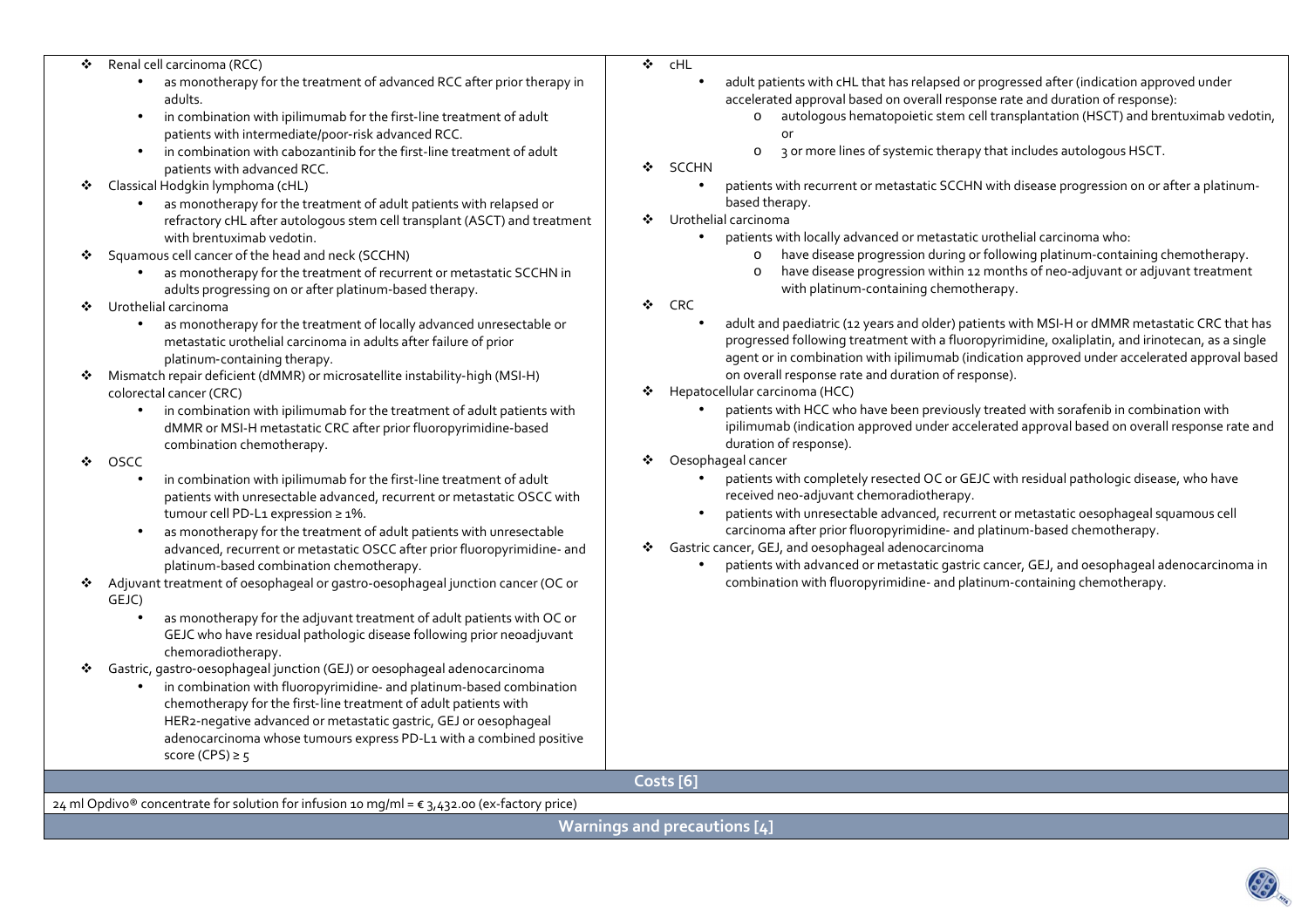| Renal cell carcinoma (RCC)<br>❖ |  |
|---------------------------------|--|
|---------------------------------|--|

- Renal cell carcinoma (RCC) as monotherapy for the treatment of advanced RCC after prior therapy in •adults.
	- •in combination with ipilimumab for the first-line treatment of adult patients with intermediate/poor-risk advanced RCC.
	- • in combination with cabozantinib for the first-line treatment of adult patients with advanced RCC.
- $\mathbf{r}$  Classical Hodgkin lymphoma (cHL)
	- as monotherapy for the treatment of adult patients with relapsed or refractory cHL after autologous stem cell transplant (ASCT) and treatment with brentuximab vedotin.
- Squamous cell cancer of the head and neck (SCCHN)
	- as monotherapy for the treatment of recurrent or metastatic SCCHN in adults progressing on or after platinum-based therapy.
- ◆ Urothelial carcinoma
	- • as monotherapy for the treatment of locally advanced unresectable or metastatic urothelial carcinoma in adults after failure of prior platinum‑containing therapy.
- ◆ Mismatch repair deficient (dMMR) or microsatellite instability-high (MSI-H)<br>
colorectal cancer (CBC) colorectal cancer (CRC)
	- in combination with ipilimumab for the treatment of adult patients with dMMR or MSI-H metastatic CRC after prior fluoropyrimidine‑based combination chemotherapy.
- $\bullet$  oscc
	- • in combination with ipilimumab for the first-line treatment of adult patients with unresectable advanced, recurrent or metastatic OSCC with tumour cell PD-L1 expression ≥ 1%.
	- • as monotherapy for the treatment of adult patients with unresectable advanced, recurrent or metastatic OSCC after prior fluoropyrimidine- and platinum-based combination chemotherapy.
- $\mathbf{r}_{\mathbf{a}}^{\mathbf{a}}$  Adjuvant treatment of oesophageal or gastro-oesophageal junction cancer (OC or GEJC)
	- • as monotherapy for the adjuvant treatment of adult patients with OC or GEJC who have residual pathologic disease following prior neoadjuvant chemoradiotherapy.
- ❖ Gastric, gastro‑oesophageal junction (GEJ) or oesophageal adenocarcinoma
	- • in combination with fluoropyrimidine- and platinum-based combination chemotherapy for the first‑line treatment of adult patients with HER2‑negative advanced or metastatic gastric, GEJ or oesophageal adenocarcinoma whose tumours express PD-L1 with a combined positive score (CPS)  $\geq$  5

## **Costs [6]**

 $24$  ml Opdivo® concentrate for solution for infusion 10 mg/ml =  $\epsilon$  3,432.00 (ex-factory price)

**Warnings and precautions [4]** 

- $r$ HL • adult patients with cHL that has relapsed or progressed after (indication approved under accelerated approval based on overall response rate and duration of response):
	- o autologous hematopoietic stem cell transplantation (HSCT) and brentuximab vedotin, or
	-
- 3 or more lines of systemic therapy that includes autologous HSCT. o
- ❖ SCCHN

 $\bullet$ 

- • patients with recurrent or metastatic SCCHN with disease progression on or after a platinumbased therapy.
- ◆ Urothelial carcinoma
	- patients with locally advanced or metastatic urothelial carcinoma who:
		- ohave disease progression during or following platinum-containing chemotherapy.
		- o have disease progression within 12 months of neo-adjuvant or adjuvant treatment with platinum-containing chemotherapy.
- $\bullet$  CRC
	- • adult and paediatric (12 years and older) patients with MSI-H or dMMR metastatic CRC that has progressed following treatment with a fluoropyrimidine, oxaliplatin, and irinotecan, as a single agent or in combination with ipilimumab (indication approved under accelerated approval based on overall response rate and duration of response).
- ◆ Hepatocellular carcinoma (HCC)<br>continuation the UCC who
	- • patients with HCC who have been previously treated with sorafenib in combination with ipilimumab (indication approved under accelerated approval based on overall response rate and duration of response).
- ❖ Oesophageal cancer<br>extends units and design
	- • patients with completely resected OC or GEJC with residual pathologic disease, who have received neo-adjuvant chemoradiotherapy.
	- • patients with unresectable advanced, recurrent or metastatic oesophageal squamous cell carcinoma after prior fluoropyrimidine- and platinum-based chemotherapy.
- Gastric cancer, GEJ, and oesophageal adenocarcinoma
	- • patients with advanced or metastatic gastric cancer, GEJ, and oesophageal adenocarcinoma in combination with fluoropyrimidine- and platinum-containing chemotherapy.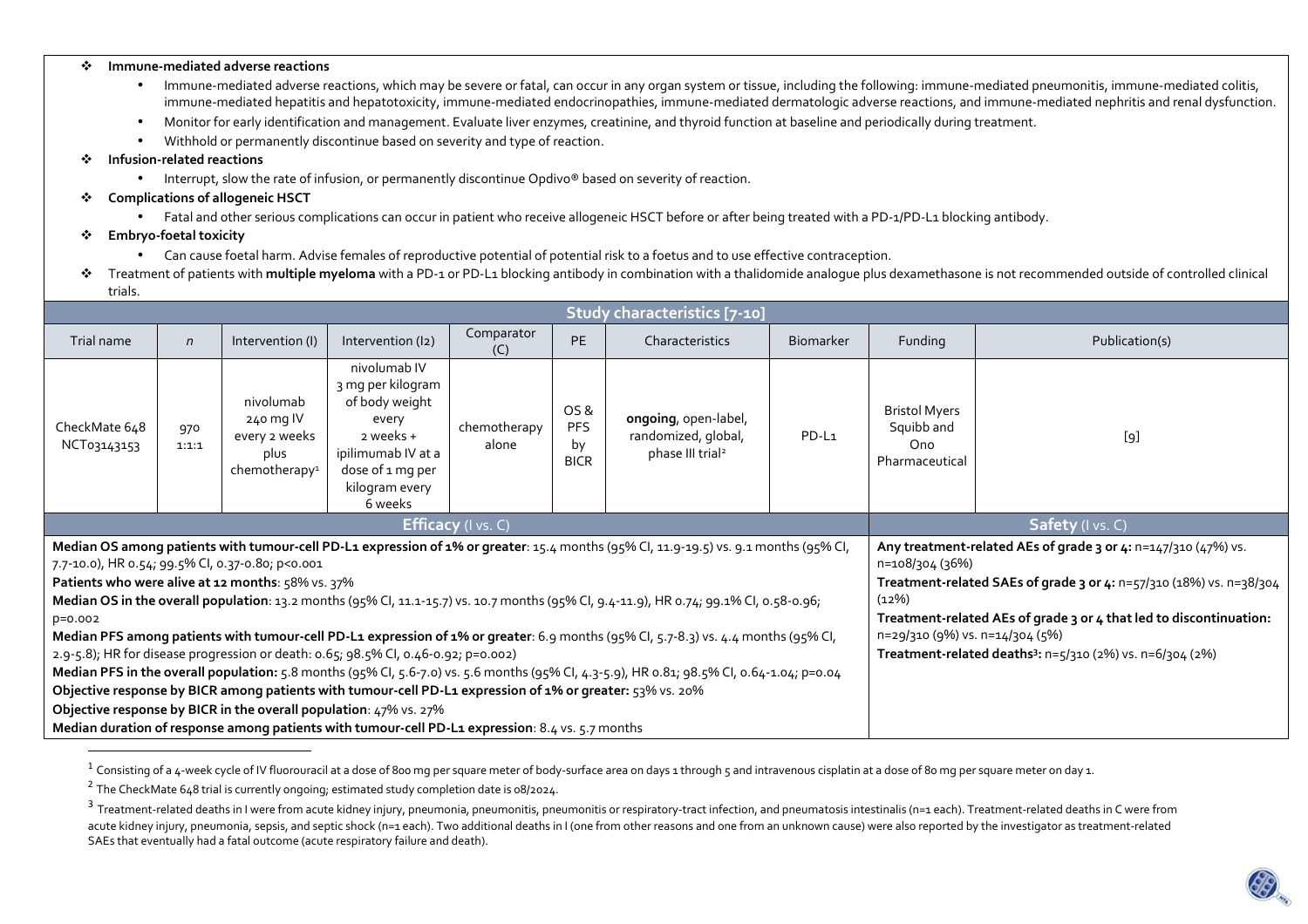## $\mathcal{L}_{\mathcal{C}}$ **Immune-mediated adverse reactions**

- • Immune-mediated adverse reactions, which may be severe or fatal, can occur in any organ system or tissue, including the following: immune-mediated pneumonitis, immune-mediated colitis, immune-mediated hepatitis and hepatotoxicity, immune-mediated endocrinopathies, immune-mediated dermatologic adverse reactions, and immune-mediated nephritis and renal dysfunction.
- •Monitor for early identification and management. Evaluate liver enzymes, creatinine, and thyroid function at baseline and periodically during treatment.
- •Withhold or permanently discontinue based on severity and type of reaction.

## $\bullet$ **Infusion-related reactions**

- Interrupt, slow the rate of infusion, or permanently discontinue Opdivo® based on severity of reaction.
- ❖ **Complications of allogeneic HSCT** 
	- Fatal and other serious complications can occur in patient who receive allogeneic HSCT before or after being treated with a PD-1/PD-L1 blocking antibody.
- $\mathbf{r}$  **Embryo-foetal toxicity** 
	- •Can cause foetal harm. Advise females of reproductive potential of potential risk to a foetus and to use effective contraception.
- $\bullet$  Treatment of patients with **multiple myeloma** with a PD-1 or PD-L1 blocking antibody in combination with a thalidomide analogue plus dexamethasone is not recommended outside of controlled clinical trials.

| Study characteristics [7-10]                                                                                                                                                                |              |                                                                              |                                                                                                                                                  |                       |                                         |                                                                             |                  |                                                                                        |                |  |
|---------------------------------------------------------------------------------------------------------------------------------------------------------------------------------------------|--------------|------------------------------------------------------------------------------|--------------------------------------------------------------------------------------------------------------------------------------------------|-----------------------|-----------------------------------------|-----------------------------------------------------------------------------|------------------|----------------------------------------------------------------------------------------|----------------|--|
| Trial name                                                                                                                                                                                  | $\mathsf{n}$ | Intervention (I)                                                             | Intervention (I2)                                                                                                                                | Comparator<br>(C)     | <b>PE</b>                               | Characteristics                                                             | <b>Biomarker</b> | Funding                                                                                | Publication(s) |  |
| CheckMate 648<br>NCT03143153                                                                                                                                                                | 970<br>1:1:1 | nivolumab<br>240 mg IV<br>every 2 weeks<br>plus<br>chemotherapy <sup>1</sup> | nivolumab IV<br>3 mg per kilogram<br>of body weight<br>every<br>2 weeks +<br>ipilimumab IV at a<br>dose of 1 mg per<br>kilogram every<br>6 weeks | chemotherapy<br>alone | OS &<br><b>PFS</b><br>by<br><b>BICR</b> | ongoing, open-label,<br>randomized, global,<br>phase III trial <sup>2</sup> | PD-L1            | <b>Bristol Myers</b><br>Squibb and<br>Ono<br>Pharmaceutical                            | [9]            |  |
| <b>Efficacy</b> (I vs. C)                                                                                                                                                                   |              |                                                                              |                                                                                                                                                  |                       |                                         |                                                                             |                  | Safety (I vs. C)                                                                       |                |  |
| Median OS among patients with tumour-cell PD-L1 expression of 1% or greater: 15.4 months (95% CI, 11.9-19.5) vs. 9.1 months (95% CI,                                                        |              |                                                                              |                                                                                                                                                  |                       |                                         |                                                                             |                  | Any treatment-related AEs of grade 3 or 4: n=147/310 (47%) vs.                         |                |  |
| 7.7-10.0), HR 0.54; 99.5% CI, 0.37-0.80; p<0.001                                                                                                                                            |              |                                                                              |                                                                                                                                                  |                       |                                         |                                                                             |                  | n=108/304 (36%)<br>Treatment-related SAEs of grade 3 or 4: n=57/310 (18%) vs. n=38/304 |                |  |
| Patients who were alive at 12 months: 58% vs. 37%<br>Median OS in the overall population: 13.2 months (95% Cl, 11.1-15.7) vs. 10.7 months (95% Cl, 9.4-11.9), HR 0.74; 99.1% Cl, 0.58-0.96; |              |                                                                              |                                                                                                                                                  |                       |                                         |                                                                             |                  | (12%)                                                                                  |                |  |
| $p=0.002$                                                                                                                                                                                   |              |                                                                              |                                                                                                                                                  |                       |                                         |                                                                             |                  | Treatment-related AEs of grade 3 or 4 that led to discontinuation:                     |                |  |
| Median PFS among patients with tumour-cell PD-L1 expression of 1% or greater: 6.9 months (95% Cl, 5.7-8.3) vs. 4.4 months (95% Cl,                                                          |              |                                                                              |                                                                                                                                                  |                       |                                         |                                                                             |                  | n=29/310 (9%) vs. n=14/304 (5%)                                                        |                |  |
| 2.9-5.8); HR for disease progression or death: 0.65; 98.5% CI, 0.46-0.92; p=0.002)                                                                                                          |              |                                                                              |                                                                                                                                                  |                       |                                         |                                                                             |                  | Treatment-related deaths <sup>3</sup> : n=5/310 (2%) vs. n=6/304 (2%)                  |                |  |
| Median PFS in the overall population: 5.8 months (95% Cl, 5.6-7.0) vs. 5.6 months (95% Cl, 4.3-5.9), HR 0.81; 98.5% Cl, 0.64-1.04; p=0.04                                                   |              |                                                                              |                                                                                                                                                  |                       |                                         |                                                                             |                  |                                                                                        |                |  |
| Objective response by BICR among patients with tumour-cell PD-L1 expression of 1% or greater: 53% vs. 20%                                                                                   |              |                                                                              |                                                                                                                                                  |                       |                                         |                                                                             |                  |                                                                                        |                |  |
| Objective response by BICR in the overall population: 47% vs. 27%                                                                                                                           |              |                                                                              |                                                                                                                                                  |                       |                                         |                                                                             |                  |                                                                                        |                |  |
| Median duration of response among patients with tumour-cell PD-L1 expression: 8.4 vs. 5.7 months                                                                                            |              |                                                                              |                                                                                                                                                  |                       |                                         |                                                                             |                  |                                                                                        |                |  |

 $^{\rm 1}$  Consisting of a 4-week cycle of IV fluorouracil at a dose of 800 mg per square meter of body-surface area on days 1 through 5 and intravenous cisplatin at a dose of 80 mg per square meter on day 1.



 $^2$  The CheckMate 648 trial is currently ongoing; estimated study completion date is 08/2024.

 $^3$  Treatment-related deaths in I were from acute kidney injury, pneumonia, pneumonitis, pneumonitis or respiratory-tract infection, and pneumatosis intestinalis (n=1 each). Treatment-related deaths in C were from acute kidney injury, pneumonia, sepsis, and septic shock (n=1 each). Two additional deaths in I (one from other reasons and one from an unknown cause) were also reported by the investigator as treatment-related SAEs that eventually had a fatal outcome (acute respiratory failure and death).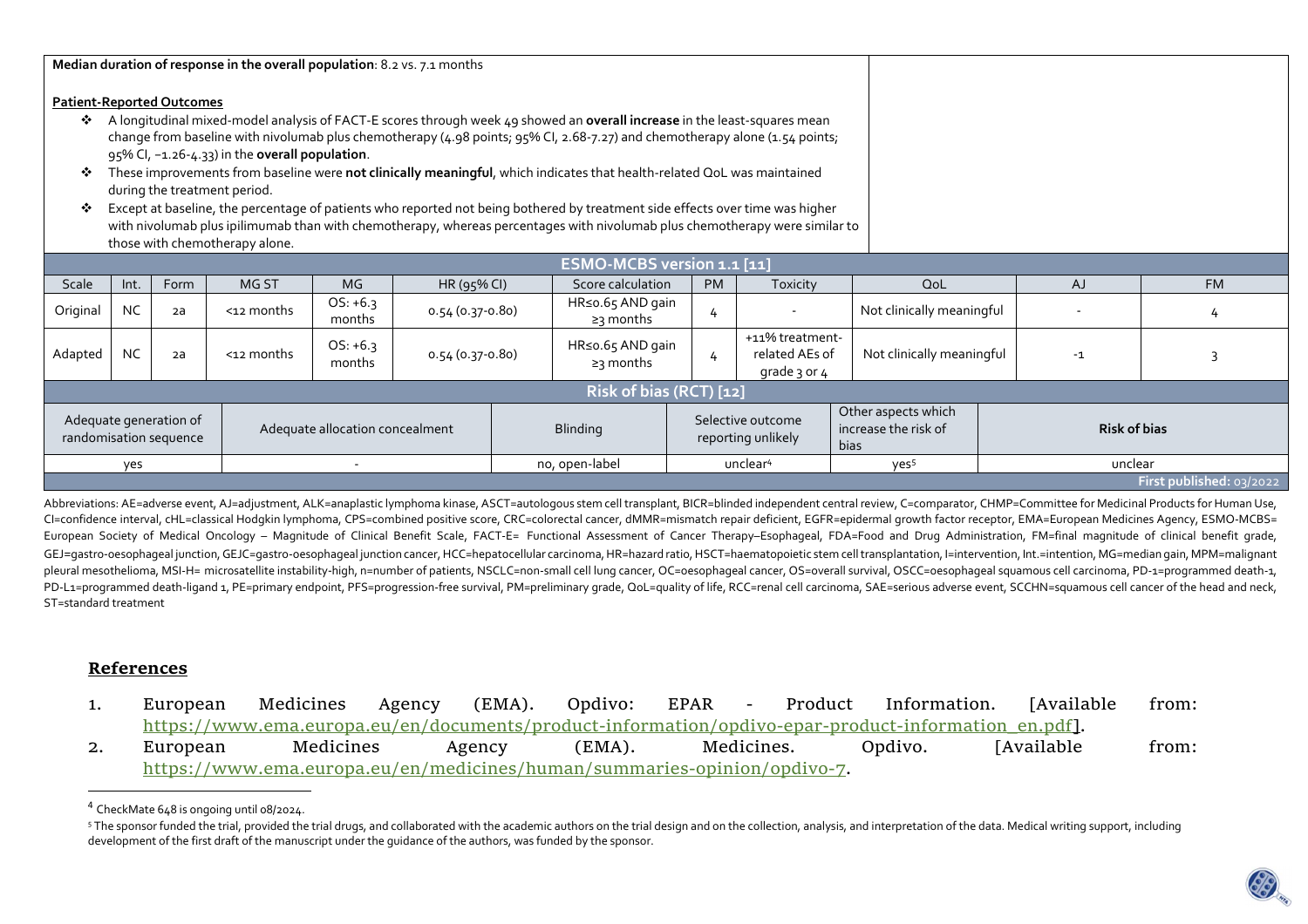| Median duration of response in the overall population: 8.2 vs. 7.1 months                                                                                                                                                                                                                                                                                                                                                                                                                                                                                                                                                                                                                                                                            |                                                                                                                               |    |                 |                                        |                                         |  |                                                     |                     |                                                   |                           |           |   |
|------------------------------------------------------------------------------------------------------------------------------------------------------------------------------------------------------------------------------------------------------------------------------------------------------------------------------------------------------------------------------------------------------------------------------------------------------------------------------------------------------------------------------------------------------------------------------------------------------------------------------------------------------------------------------------------------------------------------------------------------------|-------------------------------------------------------------------------------------------------------------------------------|----|-----------------|----------------------------------------|-----------------------------------------|--|-----------------------------------------------------|---------------------|---------------------------------------------------|---------------------------|-----------|---|
|                                                                                                                                                                                                                                                                                                                                                                                                                                                                                                                                                                                                                                                                                                                                                      | <b>Patient-Reported Outcomes</b>                                                                                              |    |                 |                                        |                                         |  |                                                     |                     |                                                   |                           |           |   |
| A longitudinal mixed-model analysis of FACT-E scores through week 49 showed an overall increase in the least-squares mean<br>❖<br>change from baseline with nivolumab plus chemotherapy (4.98 points; 95% Cl, 2.68-7.27) and chemotherapy alone (1.54 points;<br>95% CI, -1.26-4.33) in the overall population.<br>These improvements from baseline were not clinically meaningful, which indicates that health-related QoL was maintained<br>❖<br>during the treatment period.<br>Except at baseline, the percentage of patients who reported not being bothered by treatment side effects over time was higher<br>❖<br>with nivolumab plus ipilimumab than with chemotherapy, whereas percentages with nivolumab plus chemotherapy were similar to |                                                                                                                               |    |                 |                                        |                                         |  |                                                     |                     |                                                   |                           |           |   |
| those with chemotherapy alone.                                                                                                                                                                                                                                                                                                                                                                                                                                                                                                                                                                                                                                                                                                                       |                                                                                                                               |    |                 |                                        |                                         |  |                                                     |                     |                                                   |                           |           |   |
| Scale                                                                                                                                                                                                                                                                                                                                                                                                                                                                                                                                                                                                                                                                                                                                                | ESMO-MCBS version 1.1 [11]<br>MG ST<br><b>MG</b><br>Score calculation<br>Form<br>HR (95% CI)<br>Int.<br><b>PM</b><br>Toxicity |    |                 |                                        |                                         |  |                                                     |                     | QoL                                               | AJ                        | <b>FM</b> |   |
| Original                                                                                                                                                                                                                                                                                                                                                                                                                                                                                                                                                                                                                                                                                                                                             | <b>NC</b>                                                                                                                     | 2a | $<$ 12 months   | $OS: +6.3$<br>months                   | 0.54 (0.37-0.80)                        |  | HR≤o.65 AND gain<br>≥3 months                       | 4                   |                                                   | Not clinically meaningful |           | 4 |
| Adapted                                                                                                                                                                                                                                                                                                                                                                                                                                                                                                                                                                                                                                                                                                                                              | <b>NC</b>                                                                                                                     | 2a | $<$ 12 months   | $OS: +6.3$<br>months                   | $0.54(0.37 - 0.80)$                     |  | HR≤o.65 AND gain<br>$\geq$ 3 months                 | 4                   | +11% treatment-<br>related AEs of<br>grade 3 or 4 | Not clinically meaningful | $-1$      |   |
|                                                                                                                                                                                                                                                                                                                                                                                                                                                                                                                                                                                                                                                                                                                                                      | Risk of bias (RCT) [12]                                                                                                       |    |                 |                                        |                                         |  |                                                     |                     |                                                   |                           |           |   |
| Adequate generation of<br>Adequate allocation concealment<br>randomisation sequence                                                                                                                                                                                                                                                                                                                                                                                                                                                                                                                                                                                                                                                                  |                                                                                                                               |    | <b>Blinding</b> |                                        | Selective outcome<br>reporting unlikely |  | Other aspects which<br>increase the risk of<br>bias | <b>Risk of bias</b> |                                                   |                           |           |   |
|                                                                                                                                                                                                                                                                                                                                                                                                                                                                                                                                                                                                                                                                                                                                                      | yes<br>$\overline{\phantom{a}}$                                                                                               |    |                 | no, open-label<br>unclear <sup>4</sup> |                                         |  | yes <sup>5</sup>                                    | unclear             |                                                   |                           |           |   |
| First published: 03/2022                                                                                                                                                                                                                                                                                                                                                                                                                                                                                                                                                                                                                                                                                                                             |                                                                                                                               |    |                 |                                        |                                         |  |                                                     |                     |                                                   |                           |           |   |

Abbreviations: AE=adverse event, AJ=adjustment, ALK=anaplastic lymphoma kinase, ASCT=autologous stem cell transplant, BICR=blinded independent central review, C=comparator, CHMP=Committee for Medicinal Products for Human U CI=confidence interval, cHL=classical Hodgkin lymphoma, CPS=combined positive score, CRC=colorectal cancer, dMMR=mismatch repair deficient, EGFR=epidermal growth factor receptor, EMA=European Medicines Agency, ESMO-MCBS= European Society of Medical Oncology – Magnitude of Clinical Benefit Scale, FACT-E= Functional Assessment of Cancer Therapy–Esophageal, FDA=Food and Drug Administration, FM=final magnitude of clinical benefit grade, GEJ=qastro-oesophaqeal junction, GEJC=qastro-oesophaqeal junction cancer, HCC=hepatocellular carcinoma, HR=hazard ratio, HSCT=haematopoietic stem cell transplantation, l=intervention, Int.=intention, MG=median qain, MPM=ma pleural mesothelioma, MSI-H= microsatellite instability-high, n=number of patients, NSCLC=non-small cell lung cancer, OC=oesophageal cancer, OS=overall survival, OSCC=oesophageal squamous cell carcinoma, PD-1=programmed de PD-L1=programmed death-ligand 1, PE=primary endpoint, PFS=progression-free survival, PM=preliminary grade, QoL=quality of life, RCC=renal cell carcinoma, SAE=serious adverse event, SCCHN=squamous cell cancer of the head an ST=standard treatment

## **References**

- 1. European Medicines Agency (EMA). Opdivo: EPAR Product Information. [Available from: https://www.ema.europa.eu/en/documents/product-information/opdivo-epar-product-information\_en.pdf].
- **[Available** 2. European Medicines Agency (EMA). Medicines. Opdivo. [Available from: https://www.ema.europa.eu/en/medicines/human/summaries-opinion/opdivo-7.

<sup>&</sup>lt;sup>4</sup> CheckMate 648 is ongoing until 08/2024.

<sup>&</sup>lt;sup>5</sup> The sponsor funded the trial, provided the trial drugs, and collaborated with the academic authors on the trial design and on the collection, analysis, and interpretation of the data. Medical writing support, including development of the first draft of the manuscript under the guidance of the authors, was funded by the sponsor.